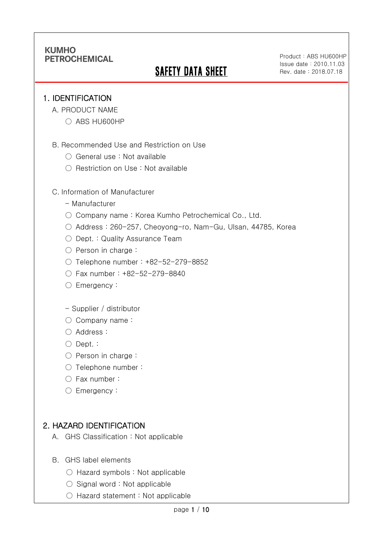# **SAFETY DATA SHEET**

Product: ABS HU600HP Issue date:2010.11.03 Rev. date : 2018.07.18

#### 1. IDENTIFICATION

Ī

- A. PRODUCT NAME
	- ABS HU600HP
- B. Recommended Use and Restriction on Use
	- General use : Not available
	- Restriction on Use : Not available

#### C. Information of Manufacturer

- Manufacturer
- Company name: Korea Kumho Petrochemical Co., Ltd.
- Address : 260-257, Cheoyong-ro, Nam-Gu, Ulsan, 44785, Korea
- Dept. : Quality Assurance Team
- Person in charge :
- Telephone number : +82-52-279-8852
- Fax number : +82-52-279-8840
- Emergency:

#### - Supplier / distributor

- Company name:
- Address :
- Dept. :
- Person in charge :
- Telephone number :
- Fax number :
- Emergency:

### 2. HAZARD IDENTIFICATION

- A. GHS Classification : Not applicable
- B. GHS label elements
	- Hazard symbols : Not applicable
	- $\bigcirc$  Signal word : Not applicable
	- Hazard statement : Not applicable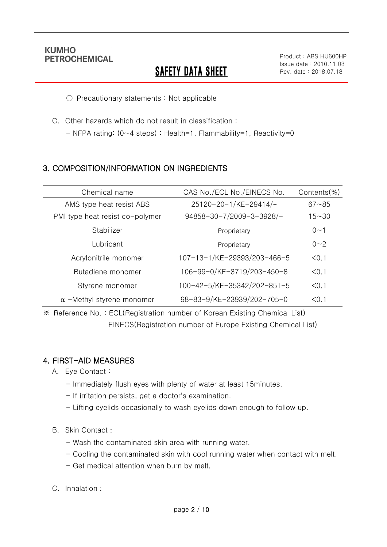Ī

# **SAFETY DATA SHEET**

○ Precautionary statements : Not applicable

C. Other hazards which do not result in classification :

- NFPA rating: (0~4 steps) : Health=1, Flammability=1, Reactivity=0

## 3. COMPOSITION/INFORMATION ON INGREDIENTS

| Chemical name                    | CAS No./ECL No./EINECS No.  | Contents(%) |
|----------------------------------|-----------------------------|-------------|
| AMS type heat resist ABS         | 25120-20-1/KE-29414/-       | $67 - 85$   |
| PMI type heat resist co-polymer  | 94858-30-7/2009-3-3928/-    | $15 - 30$   |
| Stabilizer                       | Proprietary                 | $0 - 1$     |
| Lubricant                        | Proprietary                 | $0 - 2$     |
| Acrylonitrile monomer            | 107-13-1/KE-29393/203-466-5 | < 0.1       |
| Butadiene monomer                | 106-99-0/KE-3719/203-450-8  | < 0.1       |
| Styrene monomer                  | 100-42-5/KE-35342/202-851-5 | < 0.1       |
| $\alpha$ -Methyl styrene monomer | 98-83-9/KE-23939/202-705-0  | < 0.1       |

※ Reference No. : ECL(Registration number of Korean Existing Chemical List) EINECS(Registration number of Europe Existing Chemical List)

### 4. FIRST-AID MEASURES

- A. Eye Contact :
	- Immediately flush eyes with plenty of water at least 15minutes.
	- If irritation persists, get a doctor's examination.
	- Lifting eyelids occasionally to wash eyelids down enough to follow up.

#### B. Skin Contact :

- Wash the contaminated skin area with running water.
- Cooling the contaminated skin with cool running water when contact with melt.
- Get medical attention when burn by melt.
- C. Inhalation :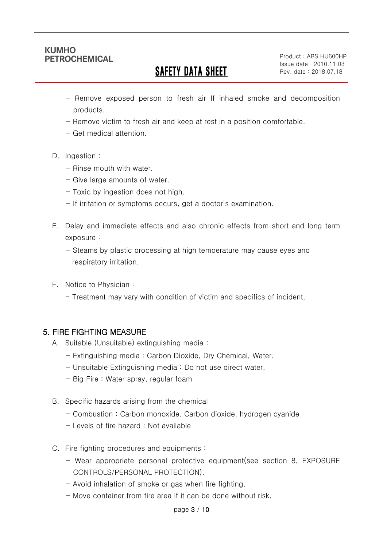Ī

# SAFETY DATA SHEET

Product: ABS HU600HP Issue date:2010.11.03 Rev. date : 2018.07.18

- Remove exposed person to fresh air If inhaled smoke and decomposition products.
- Remove victim to fresh air and keep at rest in a position comfortable.
- Get medical attention.
- D. Ingestion:
	- Rinse mouth with water
	- Give large amounts of water.
	- Toxic by ingestion does not high.
	- If irritation or symptoms occurs, get a doctor's examination.
- E. Delay and immediate effects and also chronic effects from short and long term exposure :
	- Steams by plastic processing at high temperature may cause eyes and respiratory irritation.
- F. Notice to Physician :
	- Treatment may vary with condition of victim and specifics of incident.

## 5. FIRE FIGHTING MEASURE

- A. Suitable (Unsuitable) extinguishing media :
	- Extinguishing media : Carbon Dioxide, Dry Chemical, Water.
	- Unsuitable Extinguishing media : Do not use direct water.
	- Big Fire : Water spray, regular foam
- B. Specific hazards arising from the chemical
	- Combustion : Carbon monoxide, Carbon dioxide, hydrogen cyanide
	- Levels of fire hazard : Not available
- C. Fire fighting procedures and equipments :
	- Wear appropriate personal protective equipment(see section 8. EXPOSURE CONTROLS/PERSONAL PROTECTION).
	- Avoid inhalation of smoke or gas when fire fighting.
	- Move container from fire area if it can be done without risk.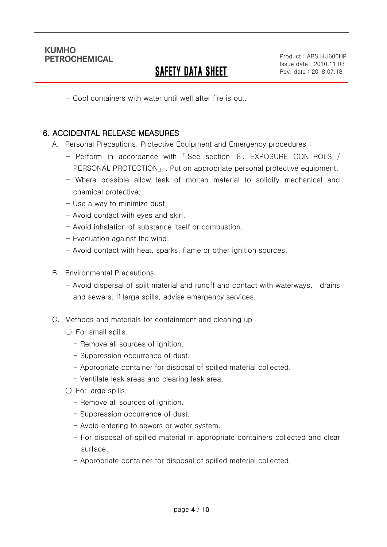Ī

# SAFETY DATA SHEET

- Cool containers with water until well after fire is out.

#### 6. ACCIDENTAL RELEASE MEASURES

A. Personal Precautions, Protective Equipment and Emergency procedures :

- Perform in accordance with 「 See section 8. EXPOSURE CONTROLS / PERSONAL PROTECTION」. Put on appropriate personal protective equipment.
- Where possible allow leak of molten material to solidify mechanical and chemical protective.
- Use a way to minimize dust.
- Avoid contact with eyes and skin.
- Avoid inhalation of substance itself or combustion.
- Evacuation against the wind.
- Avoid contact with heat, sparks, flame or other ignition sources.
- B. Environmental Precautions
	- Avoid dispersal of spilt material and runoff and contact with waterways, drains and sewers. If large spills, advise emergency services.
- C. Methods and materials for containment and cleaning up :
	- $\bigcirc$  For small spills.
		- Remove all sources of ignition.
		- Suppression occurrence of dust.
		- Appropriate container for disposal of spilled material collected.
		- Ventilate leak areas and clearing leak area.
	- For large spills.
		- Remove all sources of ignition.
		- Suppression occurrence of dust.
		- Avoid entering to sewers or water system.
		- For disposal of spilled material in appropriate containers collected and clear surface.
		- Appropriate container for disposal of spilled material collected.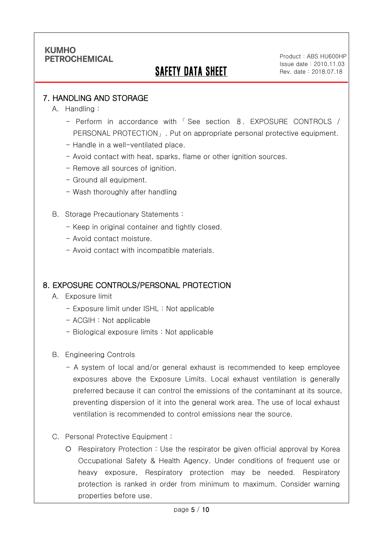# SAFETY DATA SHEET

Product: ABS HU600HP Issue date:2010.11.03 Rev. date : 2018.07.18

#### 7. HANDLING AND STORAGE

A. Handling :

Ī

- Perform in accordance with 「 See section 8. EXPOSURE CONTROLS / PERSONAL PROTECTION」. Put on appropriate personal protective equipment.
- Handle in a well-ventilated place.
- Avoid contact with heat, sparks, flame or other ignition sources.
- Remove all sources of ignition.
- Ground all equipment.
- Wash thoroughly after handling
- B. Storage Precautionary Statements :
	- Keep in original container and tightly closed.
	- Avoid contact moisture.
	- Avoid contact with incompatible materials.

#### 8. EXPOSURE CONTROLS/PERSONAL PROTECTION

- A. Exposure limit
	- Exposure limit under ISHL : Not applicable
	- ACGIH : Not applicable
	- Biological exposure limits : Not applicable
- B. Engineering Controls
	- A system of local and/or general exhaust is recommended to keep employee exposures above the Exposure Limits. Local exhaust ventilation is generally preferred because it can control the emissions of the contaminant at its source, preventing dispersion of it into the general work area. The use of local exhaust ventilation is recommended to control emissions near the source.
- C. Personal Protective Equipment :
	- Respiratory Protection : Use the respirator be given official approval by Korea Occupational Safety & Health Agency. Under conditions of frequent use or heavy exposure, Respiratory protection may be needed. Respiratory protection is ranked in order from minimum to maximum. Consider warning properties before use.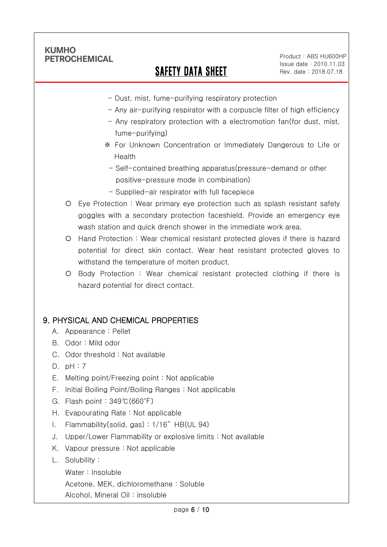Ī

# SAFETY DATA SHEET

Product: ABS HU600HP Issue date:2010.11.03 Rev. date : 2018.07.18

- Dust, mist, fume-purifying respiratory protection
- Any air-purifying respirator with a corpuscle filter of high efficiency
- Any respiratory protection with a electromotion fan(for dust, mist, fume-purifying)
- ※ For Unknown Concentration or Immediately Dangerous to Life or Health
- Self-contained breathing apparatus(pressure-demand or other positive-pressure mode in combination)
- Supplied-air respirator with full facepiece
- Eye Protection : Wear primary eye protection such as splash resistant safety goggles with a secondary protection faceshield. Provide an emergency eye wash station and quick drench shower in the immediate work area.
- Hand Protection : Wear chemical resistant protected gloves if there is hazard potential for direct skin contact. Wear heat resistant protected gloves to withstand the temperature of molten product.
- Body Protection : Wear chemical resistant protected clothing if there is hazard potential for direct contact.

### 9. PHYSICAL AND CHEMICAL PROPERTIES

- A. Appearance : Pellet
- B. Odor : Mild odor
- C. Odor threshold : Not available
- D. pH : 7
- E. Melting point/Freezing point : Not applicable
- F. Initial Boiling Point/Boiling Ranges : Not applicable
- G. Flash point : 349℃(660℉)
- H. Evapourating Rate : Not applicable
- I. Flammability(solid, gas) : 1/16" HB(UL 94)
- J. Upper/Lower Flammability or explosive limits : Not available
- K. Vapour pressure : Not applicable
- L. Solubility :
	- Water : Insoluble

Acetone, MEK, dichloromethane : Soluble

Alcohol, Mineral Oil : insoluble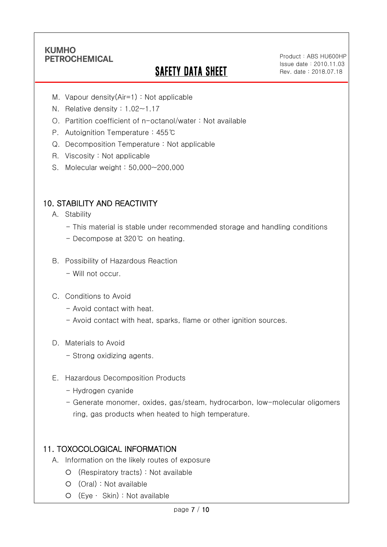Ī

# **SAFETY DATA SHEET**

Product: ABS HU600HP Issue date:2010.11.03 Rev. date : 2018.07.18

- M. Vapour density(Air=1) : Not applicable
- N. Relative density : 1.02~1.17
- O. Partition coefficient of n-octanol/water : Not available
- P. Autoignition Temperature : 455℃
- Q. Decomposition Temperature : Not applicable
- R. Viscosity : Not applicable
- S. Molecular weight : 50,000~200,000

### 10. STABILITY AND REACTIVITY

- A. Stability
	- This material is stable under recommended storage and handling conditions
	- Decompose at 320℃ on heating.
- B. Possibility of Hazardous Reaction
	- Will not occur.
- C. Conditions to Avoid
	- Avoid contact with heat.
	- Avoid contact with heat, sparks, flame or other ignition sources.
- D. Materials to Avoid
	- Strong oxidizing agents.
- E. Hazardous Decomposition Products
	- Hydrogen cyanide
	- Generate monomer, oxides, gas/steam, hydrocarbon, low-molecular oligomers ring, gas products when heated to high temperature.

### 11. TOXOCOLOGICAL INFORMATION

- A. Information on the likely routes of exposure
	- (Respiratory tracts) : Not available
	- (Oral) : Not available
	- (Eye ∙ Skin) : Not available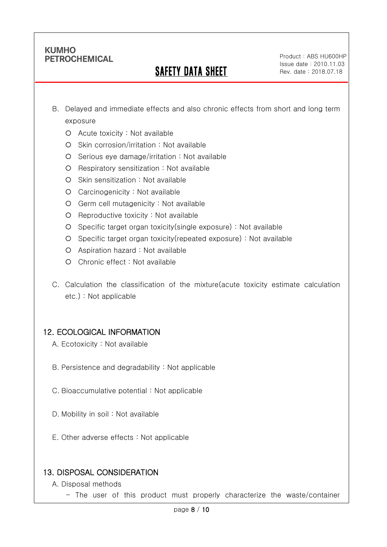Ī

# SAFETY DATA SHEET

Product: ABS HU600HP Issue date:2010.11.03 Rev. date : 2018.07.18

- B. Delayed and immediate effects and also chronic effects from short and long term exposure
	- Acute toxicity : Not available
	- O Skin corrosion/irritation : Not available
	- $O$  Serious eye damage/irritation : Not available
	- O Respiratory sensitization : Not available
	- O Skin sensitization : Not available
	- Carcinogenicity : Not available
	- Germ cell mutagenicity : Not available
	- $O$  Reproductive toxicity : Not available
	- Specific target organ toxicity(single exposure) : Not available
	- Specific target organ toxicity(repeated exposure) : Not available
	- Aspiration hazard : Not available
	- Chronic effect : Not available
- C. Calculation the classification of the mixture(acute toxicity estimate calculation etc.) : Not applicable

### 12. ECOLOGICAL INFORMATION

- A. Ecotoxicity : Not available
- B. Persistence and degradability : Not applicable
- C. Bioaccumulative potential : Not applicable
- D. Mobility in soil : Not available
- E. Other adverse effects : Not applicable

### 13. DISPOSAL CONSIDERATION

- A. Disposal methods
	- The user of this product must properly characterize the waste/container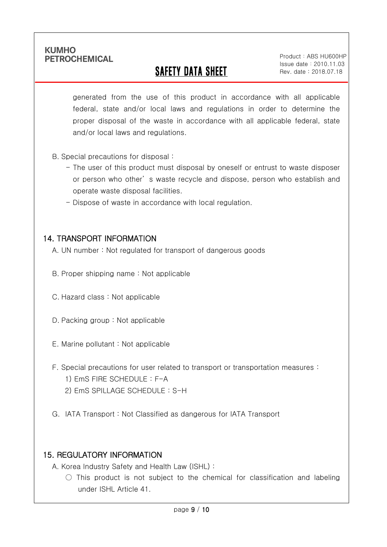Ī

# SAFETY DATA SHEET

Product: ABS HU600HP Issue date:2010.11.03 Rev. date : 2018.07.18

generated from the use of this product in accordance with all applicable federal, state and/or local laws and regulations in order to determine the proper disposal of the waste in accordance with all applicable federal, state and/or local laws and regulations.

- B. Special precautions for disposal :
	- The user of this product must disposal by oneself or entrust to waste disposer or person who other' s waste recycle and dispose, person who establish and operate waste disposal facilities.
	- Dispose of waste in accordance with local regulation.

#### 14. TRANSPORT INFORMATION

- A. UN number : Not regulated for transport of dangerous goods
- B. Proper shipping name : Not applicable
- C. Hazard class : Not applicable
- D. Packing group : Not applicable
- E. Marine pollutant : Not applicable
- F. Special precautions for user related to transport or transportation measures :
	- 1) EmS FIRE SCHEDULE : F-A
	- 2) EmS SPILLAGE SCHEDULE : S-H
- G. IATA Transport : Not Classified as dangerous for IATA Transport

### 15. REGULATORY INFORMATION

A. Korea Industry Safety and Health Law (ISHL) :

 $\bigcirc$  This product is not subject to the chemical for classification and labeling under ISHL Article 41.